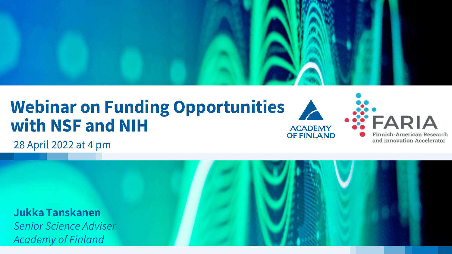

#### **Webinar on Funding Opportunities with NSF and NIH**



28 April 2022 at 4 pm

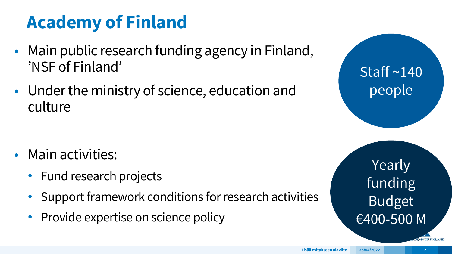## **Academy of Finland**

- Main public research funding agency in Finland, 'NSF of Finland'
- Under the ministry of science, education and culture

- Main activities:
	- Fund research projects
	- Support framework conditions for research activities
	- Provide expertise on science policy

Staff ~140 people

Yearly funding Budget €400-500 M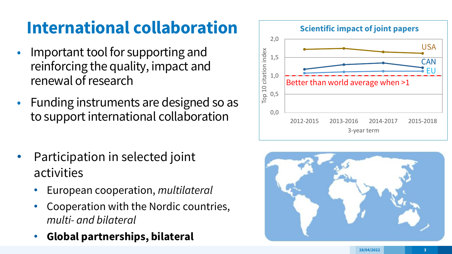#### **International collaboration**

- Important tool for supporting and reinforcing the quality, impact and renewal of research
- Funding instruments are designed so as to support international collaboration
- Participation in selected joint activities
	- European cooperation, *multilateral*
	- Cooperation with the Nordic countries, *multi- and bilateral*
	- **Global partnerships, bilateral**



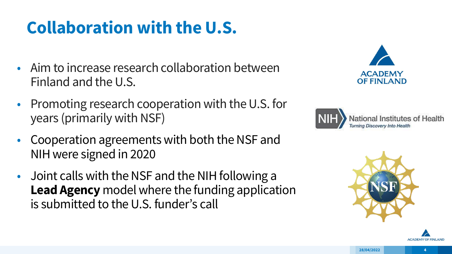#### **Collaboration with the U.S.**

- Aim to increase research collaboration between Finland and the U.S.
- Promoting research cooperation with the U.S. for years (primarily with NSF)
- Cooperation agreements with both the NSF and NIH were signed in 2020
- Joint calls with the NSF and the NIH following a **Lead Agency** model where the funding application is submitted to the U.S. funder's call







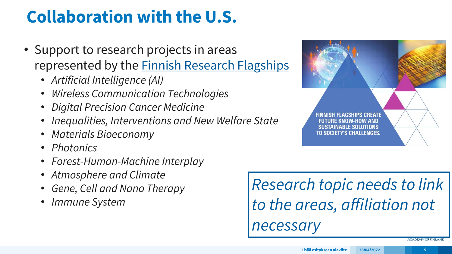#### **Collaboration with the U.S.**

- Support to research projects in areas represented by the **Finnish Research Flagships** 
	- *Artificial Intelligence (AI)*
	- *Wireless Communication Technologies*
	- *Digital Precision Cancer Medicine*
	- *Inequalities, Interventions and New Welfare State*
	- *Materials Bioeconomy*
	- *Photonics*
	- *Forest-Human-Machine Interplay*
	- *Atmosphere and Climate*
	- *Gene, Cell and Nano Therapy*
	- *Immune System*

*Research topic needs to link to the areas, affiliation not necessary*

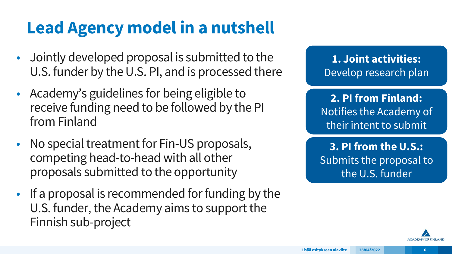### **Lead Agency model in a nutshell**

- Jointly developed proposal is submitted to the U.S. funder by the U.S. PI, and is processed there
- Academy's guidelines for being eligible to receive funding need to be followed by the PI from Finland
- No special treatment for Fin-US proposals, competing head-to-head with all other proposals submitted to the opportunity
- If a proposal is recommended for funding by the U.S. funder, the Academy aims to support the Finnish sub-project

**1. Joint activities:** Develop research plan

**2. PI from Finland:**  Notifies the Academy of their intent to submit

**3. PI from the U.S.:** Submits the proposal to the U.S. funder

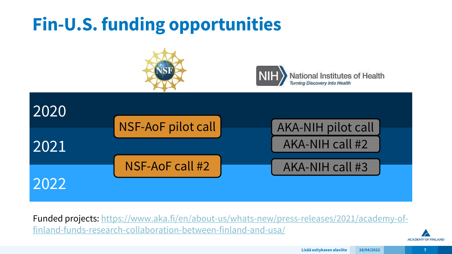### **Fin-U.S. funding opportunities**





National Institutes of Health **Turning Discovery Into Health** 



Funded [projects: https://www.aka.fi/en/about-us/whats-new/press-releases/2021/academy-of](https://www.aka.fi/en/about-us/whats-new/press-releases/2021/academy-of-finland-funds-research-collaboration-between-finland-and-usa/)finland-funds-research-collaboration-between-finland-and-usa/

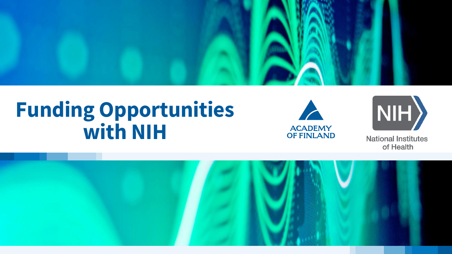

# **Funding Opportunities with NIH**





**National Institutes** of Health

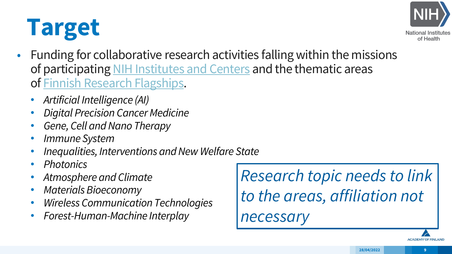# **Target**



- Funding for collaborative research activities falling within the missions of participating [NIH Institutes and Centers](https://www.nih.gov/institutes-nih/list-nih-institutes-centers-offices) and the thematic areas of [Finnish Research Flagships](https://www.aka.fi/en/research-funding/programmes-and-other-funding-schemes/flagship-programme/).
	- *Artificial Intelligence (AI)*
	- *Digital Precision Cancer Medicine*
	- *Gene, Cell and Nano Therapy*
	- *Immune System*
	- *Inequalities, Interventions and New Welfare State*
	- *Photonics*
	- *Atmosphere and Climate*
	- *Materials Bioeconomy*
	- *Wireless Communication Technologies*
	- *Forest-Human-Machine Interplay*

*Research topic needs to link to the areas, affiliation not necessary*

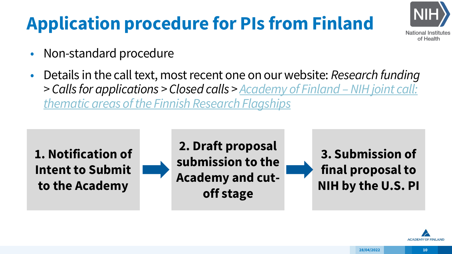# **Application procedure for PIs from Finland**



- Non-standard procedure
- Details in the call text, most recent one on our website: *Research funding*  > Calls for applications > Closed calls > <u>Academy of Finland - NIH joint call:</u> *thematic areas of the Finnish Research Flagships*

**1. Notification of Intent to Submit to the Academy**



**3. Submission of final proposal to NIH by the U.S. PI**

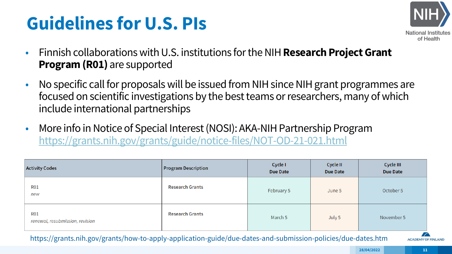## **Guidelines for U.S. PIs**



- Finnish collaborations with U.S. institutions for the NIH **Research Project Grant Program (R01)** are supported
- No specific call for proposals will be issued from NIH since NIH grant programmes are focused on scientific investigations by the best teams or researchers, many of which include international partnerships
- More info in Notice of Special Interest (NOSI): AKA-NIH Partnership Program <https://grants.nih.gov/grants/guide/notice-files/NOT-OD-21-021.html>

| <b>Activity Codes</b>                         | <b>Program Description</b> | Cycle I<br><b>Due Date</b> | Cycle II<br><b>Due Date</b> | Cycle III<br><b>Due Date</b> |
|-----------------------------------------------|----------------------------|----------------------------|-----------------------------|------------------------------|
| <b>R01</b><br>new                             | <b>Research Grants</b>     | February 5                 | June 5                      | October 5                    |
| <b>R01</b><br>renewal, resubmission, revision | <b>Research Grants</b>     | March 5                    | July 5                      | November 5                   |

https://grants.nih.gov/grants/how-to-apply-application-guide/due-dates-and-submission-policies/due-dates.htm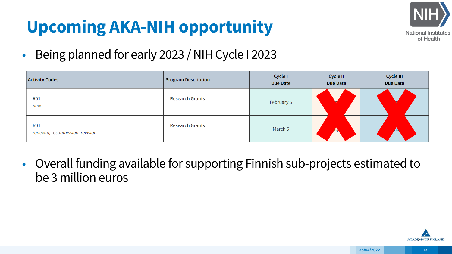### **Upcoming AKA-NIH opportunity**



• Being planned for early 2023 / NIH Cycle I 2023

| <b>Activity Codes</b>                         | <b>Program Description</b> | Cycle I<br><b>Due Date</b> | Cycle II<br><b>Due Date</b> | Cycle III<br><b>Due Date</b> |
|-----------------------------------------------|----------------------------|----------------------------|-----------------------------|------------------------------|
| <b>R01</b><br>new                             | <b>Research Grants</b>     | February 5                 |                             |                              |
| <b>R01</b><br>renewal, resubmission, revision | <b>Research Grants</b>     | March 5                    |                             |                              |

• Overall funding available for supporting Finnish sub-projects estimated to be 3 million euros

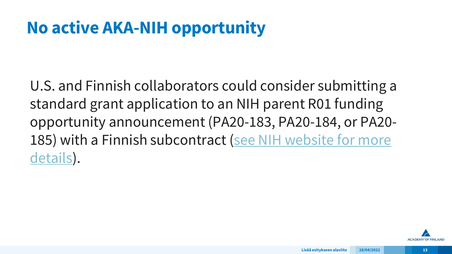#### **No active AKA-NIH opportunity**

U.S. and Finnish collaborators could consider submitting a standard grant application to an NIH parent R01 funding opportunity announcement (PA20-183, PA20-184, or PA20- [185\) with a Finnish subcontract \(see NIH website for more](https://grants.nih.gov/funding/index.htm) details).

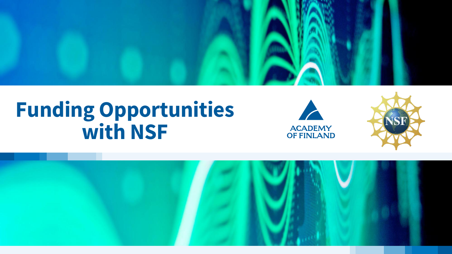

# **Funding Opportunities with NSF**





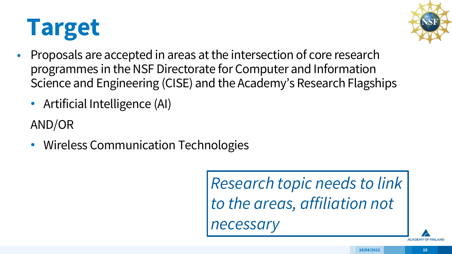# **Target**



- Proposals are accepted in areas at the intersection of core research programmes in the NSF Directorate for Computer and Information Science and Engineering (CISE) and the Academy's Research Flagships
	- Artificial Intelligence (AI)

AND/OR

• Wireless Communication Technologies

*Research topic needs to link to the areas, affiliation not necessary*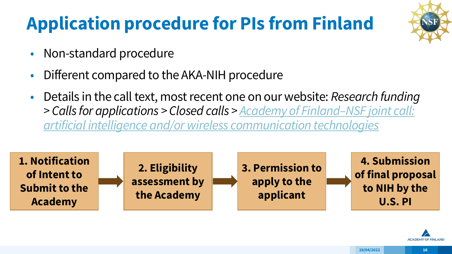# **Application procedure for PIs from Finland**



- Non-standard procedure
- Different compared to the AKA-NIH procedure
- Details in the call text, most recent one on our website: *Research funding > Calls for applications > Closed calls > Academy of Finland–NSF joint call: [artificial intelligence and/or wireless communication technologies](https://www.aka.fi/en/research-funding/apply-for-funding/calls-for-applications/apply-now2/academy-of-finlandnsf-joint-call-artificial-intelligence-andor-wireless-communication-technologies/)*



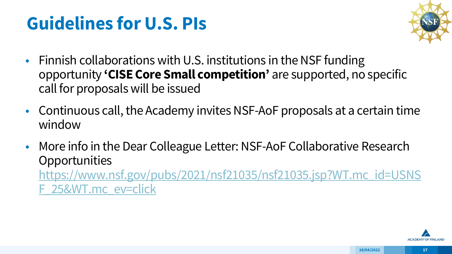## **Guidelines for U.S. PIs**



- Finnish collaborations with U.S. institutions in the NSF funding opportunity **'CISE Core Small competition'** are supported, no specific call for proposals will be issued
- Continuous call, the Academy invites NSF-AoF proposals at a certain time window
- More info in the Dear Colleague Letter: NSF-AoF Collaborative Research **Opportunities** [https://www.nsf.gov/pubs/2021/nsf21035/nsf21035.jsp?WT.mc\\_id=USNS](https://www.nsf.gov/pubs/2021/nsf21035/nsf21035.jsp?WT.mc_id=USNSF_25&WT.mc_ev=click) F\_25&WT.mc\_ev=click

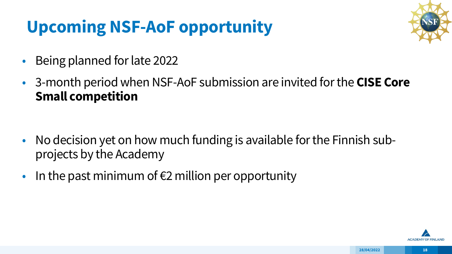#### **Upcoming NSF-AoF opportunity**



- Being planned for late 2022
- 3-month period when NSF-AoF submission are invited for the **CISE Core Small competition**

- No decision yet on how much funding is available for the Finnish subprojects by the Academy
- In the past minimum of  $E2$  million per opportunity